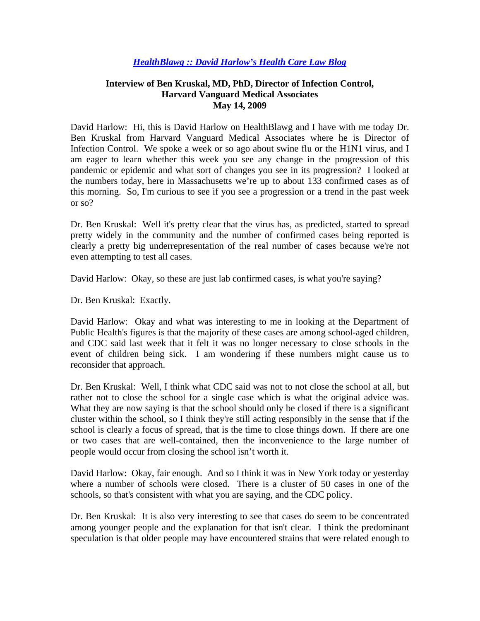## *HealthBlawg :: David Harlow's Health Care Law Blog*

## **Interview of Ben Kruskal, MD, PhD, Director of Infection Control, Harvard Vanguard Medical Associates May 14, 2009**

David Harlow: Hi, this is David Harlow on HealthBlawg and I have with me today Dr. Ben Kruskal from Harvard Vanguard Medical Associates where he is Director of Infection Control. We spoke a week or so ago about swine flu or the H1N1 virus, and I am eager to learn whether this week you see any change in the progression of this pandemic or epidemic and what sort of changes you see in its progression? I looked at the numbers today, here in Massachusetts we're up to about 133 confirmed cases as of this morning. So, I'm curious to see if you see a progression or a trend in the past week or so?

Dr. Ben Kruskal: Well it's pretty clear that the virus has, as predicted, started to spread pretty widely in the community and the number of confirmed cases being reported is clearly a pretty big underrepresentation of the real number of cases because we're not even attempting to test all cases.

David Harlow: Okay, so these are just lab confirmed cases, is what you're saying?

Dr. Ben Kruskal: Exactly.

David Harlow: Okay and what was interesting to me in looking at the Department of Public Health's figures is that the majority of these cases are among school-aged children, and CDC said last week that it felt it was no longer necessary to close schools in the event of children being sick. I am wondering if these numbers might cause us to reconsider that approach.

Dr. Ben Kruskal: Well, I think what CDC said was not to not close the school at all, but rather not to close the school for a single case which is what the original advice was. What they are now saying is that the school should only be closed if there is a significant cluster within the school, so I think they're still acting responsibly in the sense that if the school is clearly a focus of spread, that is the time to close things down. If there are one or two cases that are well-contained, then the inconvenience to the large number of people would occur from closing the school isn't worth it.

David Harlow: Okay, fair enough. And so I think it was in New York today or yesterday where a number of schools were closed. There is a cluster of 50 cases in one of the schools, so that's consistent with what you are saying, and the CDC policy.

Dr. Ben Kruskal: It is also very interesting to see that cases do seem to be concentrated among younger people and the explanation for that isn't clear. I think the predominant speculation is that older people may have encountered strains that were related enough to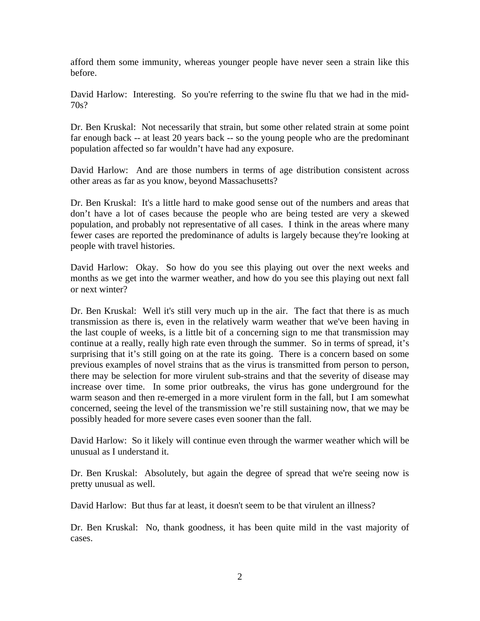afford them some immunity, whereas younger people have never seen a strain like this before.

David Harlow: Interesting. So you're referring to the swine flu that we had in the mid-70s?

Dr. Ben Kruskal: Not necessarily that strain, but some other related strain at some point far enough back -- at least 20 years back -- so the young people who are the predominant population affected so far wouldn't have had any exposure.

David Harlow: And are those numbers in terms of age distribution consistent across other areas as far as you know, beyond Massachusetts?

Dr. Ben Kruskal: It's a little hard to make good sense out of the numbers and areas that don't have a lot of cases because the people who are being tested are very a skewed population, and probably not representative of all cases. I think in the areas where many fewer cases are reported the predominance of adults is largely because they're looking at people with travel histories.

David Harlow: Okay. So how do you see this playing out over the next weeks and months as we get into the warmer weather, and how do you see this playing out next fall or next winter?

Dr. Ben Kruskal: Well it's still very much up in the air. The fact that there is as much transmission as there is, even in the relatively warm weather that we've been having in the last couple of weeks, is a little bit of a concerning sign to me that transmission may continue at a really, really high rate even through the summer. So in terms of spread, it's surprising that it's still going on at the rate its going. There is a concern based on some previous examples of novel strains that as the virus is transmitted from person to person, there may be selection for more virulent sub-strains and that the severity of disease may increase over time. In some prior outbreaks, the virus has gone underground for the warm season and then re-emerged in a more virulent form in the fall, but I am somewhat concerned, seeing the level of the transmission we're still sustaining now, that we may be possibly headed for more severe cases even sooner than the fall.

David Harlow: So it likely will continue even through the warmer weather which will be unusual as I understand it.

Dr. Ben Kruskal: Absolutely, but again the degree of spread that we're seeing now is pretty unusual as well.

David Harlow: But thus far at least, it doesn't seem to be that virulent an illness?

Dr. Ben Kruskal: No, thank goodness, it has been quite mild in the vast majority of cases.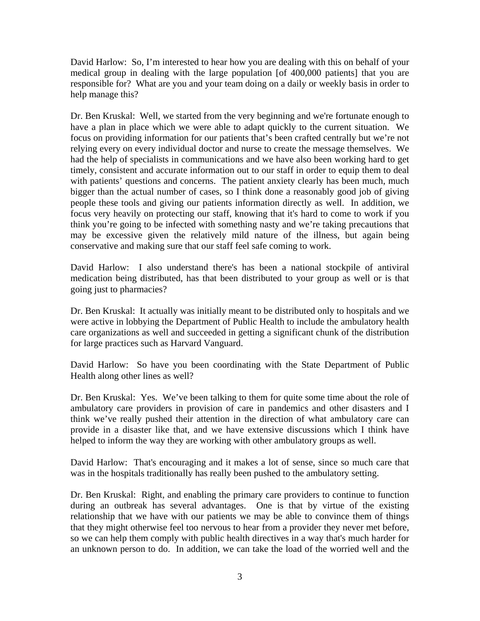David Harlow: So, I'm interested to hear how you are dealing with this on behalf of your medical group in dealing with the large population [of 400,000 patients] that you are responsible for? What are you and your team doing on a daily or weekly basis in order to help manage this?

Dr. Ben Kruskal: Well, we started from the very beginning and we're fortunate enough to have a plan in place which we were able to adapt quickly to the current situation. We focus on providing information for our patients that's been crafted centrally but we're not relying every on every individual doctor and nurse to create the message themselves. We had the help of specialists in communications and we have also been working hard to get timely, consistent and accurate information out to our staff in order to equip them to deal with patients' questions and concerns. The patient anxiety clearly has been much, much bigger than the actual number of cases, so I think done a reasonably good job of giving people these tools and giving our patients information directly as well. In addition, we focus very heavily on protecting our staff, knowing that it's hard to come to work if you think you're going to be infected with something nasty and we're taking precautions that may be excessive given the relatively mild nature of the illness, but again being conservative and making sure that our staff feel safe coming to work.

David Harlow: I also understand there's has been a national stockpile of antiviral medication being distributed, has that been distributed to your group as well or is that going just to pharmacies?

Dr. Ben Kruskal: It actually was initially meant to be distributed only to hospitals and we were active in lobbying the Department of Public Health to include the ambulatory health care organizations as well and succeeded in getting a significant chunk of the distribution for large practices such as Harvard Vanguard.

David Harlow: So have you been coordinating with the State Department of Public Health along other lines as well?

Dr. Ben Kruskal: Yes. We've been talking to them for quite some time about the role of ambulatory care providers in provision of care in pandemics and other disasters and I think we've really pushed their attention in the direction of what ambulatory care can provide in a disaster like that, and we have extensive discussions which I think have helped to inform the way they are working with other ambulatory groups as well.

David Harlow: That's encouraging and it makes a lot of sense, since so much care that was in the hospitals traditionally has really been pushed to the ambulatory setting.

Dr. Ben Kruskal: Right, and enabling the primary care providers to continue to function during an outbreak has several advantages. One is that by virtue of the existing relationship that we have with our patients we may be able to convince them of things that they might otherwise feel too nervous to hear from a provider they never met before, so we can help them comply with public health directives in a way that's much harder for an unknown person to do. In addition, we can take the load of the worried well and the